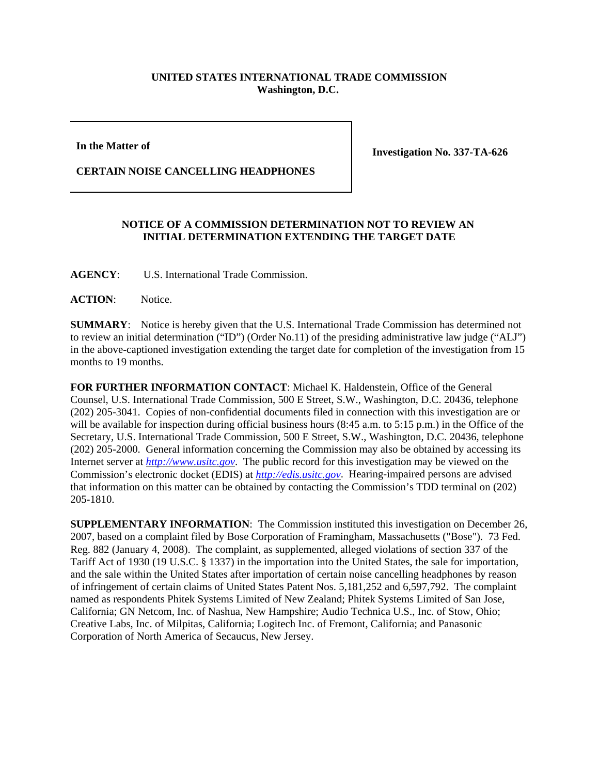## **UNITED STATES INTERNATIONAL TRADE COMMISSION Washington, D.C.**

**In the Matter of** 

**CERTAIN NOISE CANCELLING HEADPHONES**

**Investigation No. 337-TA-626**

## **NOTICE OF A COMMISSION DETERMINATION NOT TO REVIEW AN INITIAL DETERMINATION EXTENDING THE TARGET DATE**

**AGENCY**: U.S. International Trade Commission.

**ACTION**: Notice.

**SUMMARY**: Notice is hereby given that the U.S. International Trade Commission has determined not to review an initial determination ("ID") (Order No.11) of the presiding administrative law judge ("ALJ") in the above-captioned investigation extending the target date for completion of the investigation from 15 months to 19 months.

**FOR FURTHER INFORMATION CONTACT**: Michael K. Haldenstein, Office of the General Counsel, U.S. International Trade Commission, 500 E Street, S.W., Washington, D.C. 20436, telephone (202) 205-3041. Copies of non-confidential documents filed in connection with this investigation are or will be available for inspection during official business hours (8:45 a.m. to 5:15 p.m.) in the Office of the Secretary, U.S. International Trade Commission, 500 E Street, S.W., Washington, D.C. 20436, telephone (202) 205-2000. General information concerning the Commission may also be obtained by accessing its Internet server at *http://www.usitc.gov*. The public record for this investigation may be viewed on the Commission's electronic docket (EDIS) at *http://edis.usitc.gov*. Hearing-impaired persons are advised that information on this matter can be obtained by contacting the Commission's TDD terminal on (202) 205-1810.

**SUPPLEMENTARY INFORMATION**: The Commission instituted this investigation on December 26, 2007, based on a complaint filed by Bose Corporation of Framingham, Massachusetts ("Bose"). 73 Fed. Reg. 882 (January 4, 2008). The complaint, as supplemented, alleged violations of section 337 of the Tariff Act of 1930 (19 U.S.C. § 1337) in the importation into the United States, the sale for importation, and the sale within the United States after importation of certain noise cancelling headphones by reason of infringement of certain claims of United States Patent Nos. 5,181,252 and 6,597,792. The complaint named as respondents Phitek Systems Limited of New Zealand; Phitek Systems Limited of San Jose, California; GN Netcom, Inc. of Nashua, New Hampshire; Audio Technica U.S., Inc. of Stow, Ohio; Creative Labs, Inc. of Milpitas, California; Logitech Inc. of Fremont, California; and Panasonic Corporation of North America of Secaucus, New Jersey.